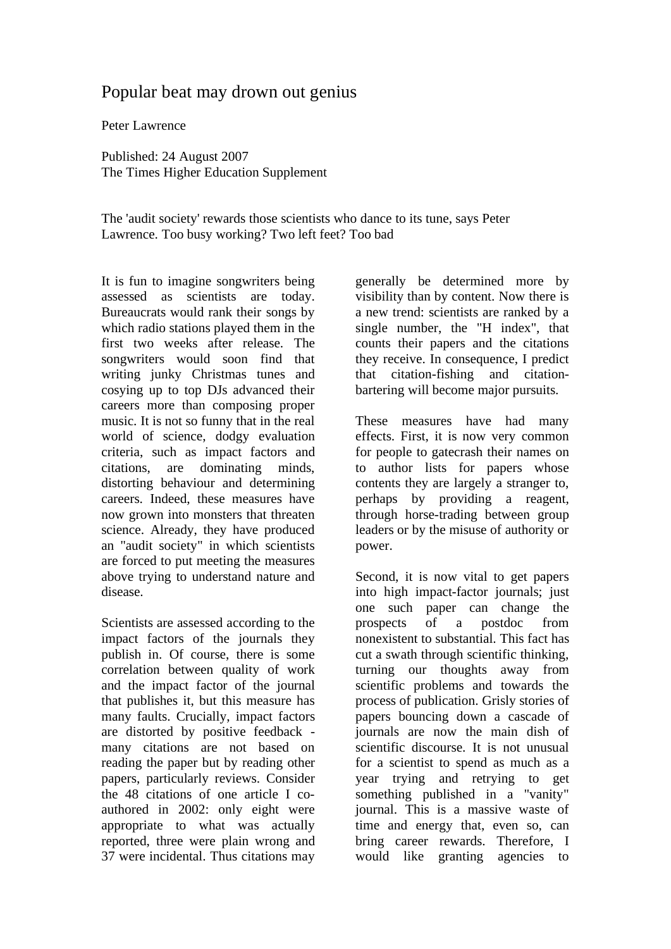## Popular beat may drown out genius

Peter Lawrence

Published: 24 August 2007 The Times Higher Education Supplement

The 'audit society' rewards those scientists who dance to its tune, says Peter Lawrence. Too busy working? Two left feet? Too bad

It is fun to imagine songwriters being assessed as scientists are today. Bureaucrats would rank their songs by which radio stations played them in the first two weeks after release. The songwriters would soon find that writing junky Christmas tunes and cosying up to top DJs advanced their careers more than composing proper music. It is not so funny that in the real world of science, dodgy evaluation criteria, such as impact factors and citations, are dominating minds, distorting behaviour and determining careers. Indeed, these measures have now grown into monsters that threaten science. Already, they have produced an "audit society" in which scientists are forced to put meeting the measures above trying to understand nature and disease.

Scientists are assessed according to the impact factors of the journals they publish in. Of course, there is some correlation between quality of work and the impact factor of the journal that publishes it, but this measure has many faults. Crucially, impact factors are distorted by positive feedback many citations are not based on reading the paper but by reading other papers, particularly reviews. Consider the 48 citations of one article I coauthored in 2002: only eight were appropriate to what was actually reported, three were plain wrong and 37 were incidental. Thus citations may generally be determined more by visibility than by content. Now there is a new trend: scientists are ranked by a single number, the "H index", that counts their papers and the citations they receive. In consequence, I predict that citation-fishing and citationbartering will become major pursuits.

These measures have had many effects. First, it is now very common for people to gatecrash their names on to author lists for papers whose contents they are largely a stranger to, perhaps by providing a reagent, through horse-trading between group leaders or by the misuse of authority or power.

Second, it is now vital to get papers into high impact-factor journals; just one such paper can change the prospects of a postdoc from nonexistent to substantial. This fact has cut a swath through scientific thinking, turning our thoughts away from scientific problems and towards the process of publication. Grisly stories of papers bouncing down a cascade of journals are now the main dish of scientific discourse. It is not unusual for a scientist to spend as much as a year trying and retrying to get something published in a "vanity" journal. This is a massive waste of time and energy that, even so, can bring career rewards. Therefore, I would like granting agencies to